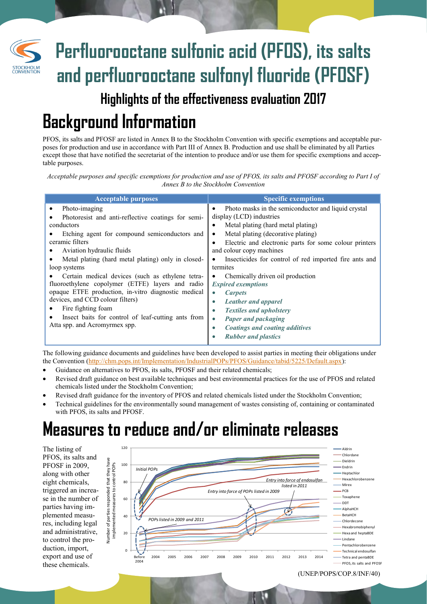# **Perfluorooctane sulfonic acid (PFOS), its salts and perfluorooctane sulfonyl fluoride (PFOSF)**

#### **Highlights of the effectiveness evaluation 2017**

# **Background Information**

PFOS, its salts and PFOSF are listed in Annex B to the Stockholm Convention with specific exemptions and acceptable purposes for production and use in accordance with Part III of Annex B. Production and use shall be eliminated by all Parties except those that have notified the secretariat of the intention to produce and/or use them for specific exemptions and acceptable purposes.

*Acceptable purposes and specific exemptions for production and use of PFOS, its salts and PFOSF according to Part I of Annex B to the Stockholm Convention* 

| <b>Acceptable purposes</b>                          | <b>Specific exemptions</b>                                  |
|-----------------------------------------------------|-------------------------------------------------------------|
| Photo-imaging<br>٠                                  | Photo masks in the semiconductor and liquid crystal<br>٠    |
| Photoresist and anti-reflective coatings for semi-  | display (LCD) industries                                    |
| conductors                                          | Metal plating (hard metal plating)<br>$\bullet$             |
| Etching agent for compound semiconductors and       | Metal plating (decorative plating)<br>٠                     |
| ceramic filters                                     | Electric and electronic parts for some colour printers<br>٠ |
| Aviation hydraulic fluids<br>٠                      | and colour copy machines                                    |
| Metal plating (hard metal plating) only in closed-  | Insecticides for control of red imported fire ants and      |
| loop systems                                        | termites                                                    |
| Certain medical devices (such as ethylene tetra-    | Chemically driven oil production                            |
| fluoroethylene copolymer (ETFE) layers and radio    | <b>Expired exemptions</b>                                   |
| opaque ETFE production, in-vitro diagnostic medical | <b>Carpets</b><br>$\bullet$                                 |
| devices, and CCD colour filters)                    | <b>Leather and apparel</b><br>$\bullet$                     |
| Fire fighting foam                                  | <b>Textiles and upholstery</b><br>$\bullet$                 |
| Insect baits for control of leaf-cutting ants from  | Paper and packaging<br>$\bullet$                            |
| Atta spp. and Acromyrmex spp.                       | <b>Coatings and coating additives</b><br>$\bullet$          |
|                                                     | <b>Rubber and plastics</b>                                  |
|                                                     |                                                             |

The following guidance documents and guidelines have been developed to assist parties in meeting their obligations under the Convention ([http://chm.pops.int/Implementation/IndustrialPOPs/PFOS/Guidance/tabid/5225/Default.aspx\)](http://chm.pops.int/Implementation/IndustrialPOPs/PFOS/Guidance/tabid/5225/Default.aspx):

- Guidance on alternatives to PFOS, its salts, PFOSF and their related chemicals;
- Revised draft guidance on best available techniques and best environmental practices for the use of PFOS and related chemicals listed under the Stockholm Convention;
- Revised draft guidance for the inventory of PFOS and related chemicals listed under the Stockholm Convention;
- Technical guidelines for the environmentally sound management of wastes consisting of, containing or contaminated with PFOS, its salts and PFOSF.

### **Measures to reduce and/or eliminate releases**

The listing of PFOS, its salts and PFOSF in 2009, along with other eight chemicals, triggered an increase in the number of parties having implemented measures, including legal and administrative, to control the production, import, export and use of these chemicals.



(UNEP/POPS/COP.8/INF/40)